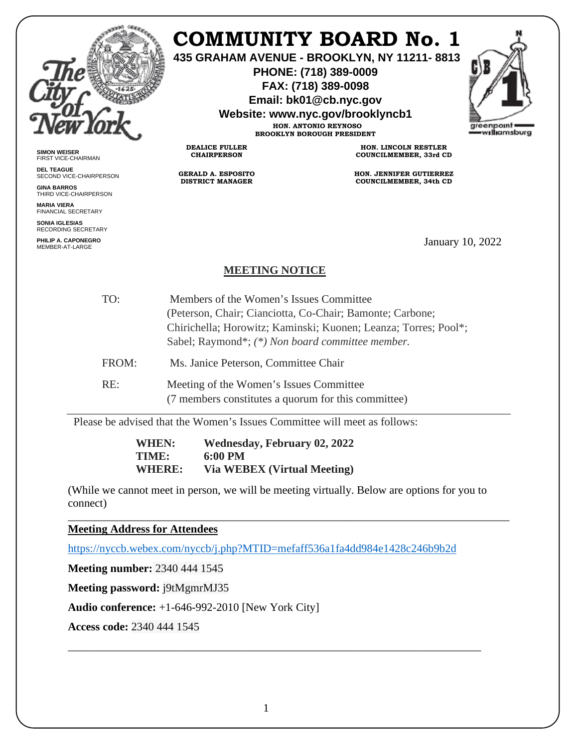

## **COMMUNITY BOARD No. 1**

**435 GRAHAM AVENUE - BROOKLYN, NY 11211- 8813**

**PHONE: (718) 389-0009 FAX: (718) 389-0098**

**Email: bk01@cb.nyc.gov**

**Website: www.nyc.gov/brooklyncb1**

**HON. ANTONIO REYNOSO BROOKLYN BOROUGH PRESIDENT**



**SIMON WEISER** FIRST VICE-CHAIRMAN

**DEL TEAGUE** SECOND VICE-CHAIRPERSON

**GINA BARROS** THIRD VICE-CHAIRPERSON

**MARIA VIERA** FINANCIAL SECRETARY

**SONIA IGLESIAS** RECORDING SECRETARY

**PHILIP A. CAPONEGRO**

**HON. LINCOLN RESTLER COUNCILMEMBER, 33rd CD**

**HON. JENNIFER GUTIERREZ COUNCILMEMBER, 34th CD**

January 10, 2022

## **MEETING NOTICE**

**DEALICE FULLER CHAIRPERSON**

**GERALD A. ESPOSITO DISTRICT MANAGER**

| TO:   | Members of the Women's Issues Committee                         |
|-------|-----------------------------------------------------------------|
|       | (Peterson, Chair; Cianciotta, Co-Chair; Bamonte; Carbone;       |
|       | Chirichella; Horowitz; Kaminski; Kuonen; Leanza; Torres; Pool*; |
|       | Sabel; Raymond*; (*) Non board committee member.                |
| FROM: | Ms. Janice Peterson, Committee Chair                            |
| RE:   | Meeting of the Women's Issues Committee                         |

(7 members constitutes a quorum for this committee)

Please be advised that the Women's Issues Committee will meet as follows:

**WHEN: Wednesday, February 02, 2022 TIME: 6:00 PM WHERE: Via WEBEX (Virtual Meeting)** 

(While we cannot meet in person, we will be meeting virtually. Below are options for you to connect)

\_\_\_\_\_\_\_\_\_\_\_\_\_\_\_\_\_\_\_\_\_\_\_\_\_\_\_\_\_\_\_\_\_\_\_\_\_\_\_\_\_\_\_\_\_\_\_\_\_\_\_\_\_\_\_\_\_\_\_\_\_\_\_\_\_\_\_\_\_\_\_\_\_\_\_\_\_\_

**Meeting Address for Attendees** 

<https://nyccb.webex.com/nyccb/j.php?MTID=mefaff536a1fa4dd984e1428c246b9b2d>

**Meeting number:** 2340 444 1545

**Meeting password:** j9tMgmrMJ35

**Audio conference:** +1-646-992-2010 [New York City]

**Access code:** 2340 444 1545

\_\_\_\_\_\_\_\_\_\_\_\_\_\_\_\_\_\_\_\_\_\_\_\_\_\_\_\_\_\_\_\_\_\_\_\_\_\_\_\_\_\_\_\_\_\_\_\_\_\_\_\_\_\_\_\_\_\_\_\_\_\_\_\_\_\_\_\_\_\_\_\_\_